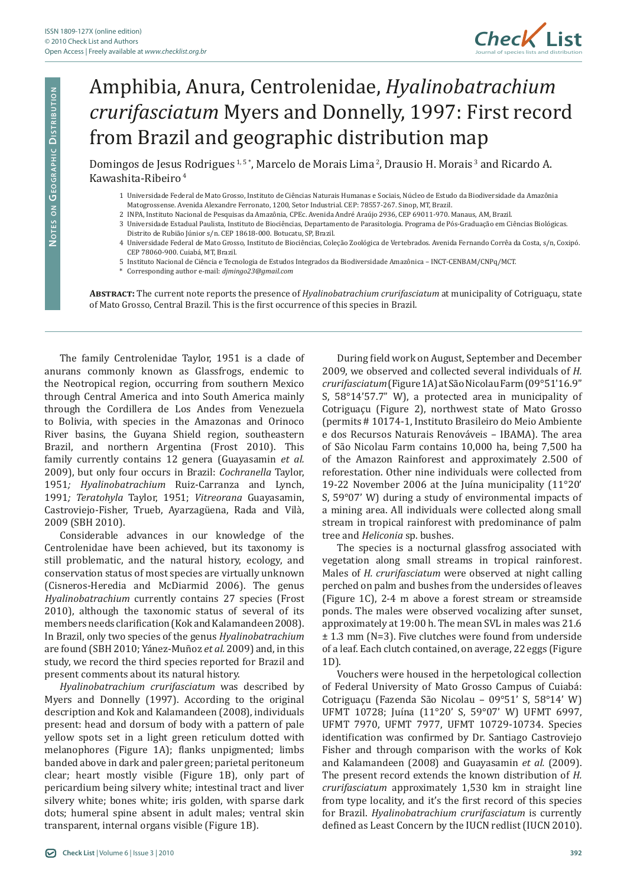

## Amphibia, Anura, Centrolenidae, *Hyalinobatrachium crurifasciatum* Myers and Donnelly, 1997: First record from Brazil and geographic distribution map

Domingos de Jesus Rodrigues<sup>1,5\*</sup>, Marcelo de Morais Lima<sup>2</sup>, Drausio H. Morais<sup>3</sup> and Ricardo A. Kawashita-Ribeiro<sup>4</sup>

- 1 Universidade Federal de Mato Grosso, Instituto de Ciências Naturais Humanas e Sociais, Núcleo de Estudo da Biodiversidade da Amazônia Matogrossense. Avenida Alexandre Ferronato, 1200, Setor Industrial. CEP: 78557-267. Sinop, MT, Brazil.
- 2 INPA, Instituto Nacional de Pesquisas da Amazônia, CPEc. Avenida André Araújo 2936, CEP 69011-970. Manaus, AM, Brazil.
- 3 Universidade Estadual Paulista, Instituto de Biociências, Departamento de Parasitologia. Programa de Pós-Graduação em Ciências Biológicas. Distrito de Rubião Júnior s/n. CEP 18618-000. Botucatu, SP, Brazil.
- 4 Universidade Federal de Mato Grosso, Instituto de Biociências, Coleção Zoológica de Vertebrados. Avenida Fernando Corrêa da Costa, s/n, Coxipó. CEP 78060-900. Cuiabá, MT, Brazil.
- 5 Instituto Nacional de Ciência e Tecnologia de Estudos Integrados da Biodiversidade Amazônica INCT-CENBAM/CNPq/MCT.
- \* Corresponding author e-mail: *djmingo23@gmail.com*

**Abstract:** The current note reports the presence of *Hyalinobatrachium crurifasciatum* at municipality of Cotriguaçu, state of Mato Grosso, Central Brazil. This is the first occurrence of this species in Brazil.

The family Centrolenidae Taylor, 1951 is a clade of anurans commonly known as Glassfrogs, endemic to the Neotropical region, occurring from southern Mexico through Central America and into South America mainly through the Cordillera de Los Andes from Venezuela to Bolivia, with species in the Amazonas and Orinoco River basins, the Guyana Shield region, southeastern Brazil, and northern Argentina (Frost 2010). This family currently contains 12 genera (Guayasamin *et al.* 2009), but only four occurs in Brazil: *Cochranella* Taylor, 1951*; Hyalinobatrachium* Ruiz-Carranza and Lynch, 1991*; Teratohyla* Taylor, 1951; *Vitreorana* Guayasamin, Castroviejo-Fisher, Trueb, Ayarzagüena, Rada and Vilà, 2009 (SBH 2010).

Considerable advances in our knowledge of the Centrolenidae have been achieved, but its taxonomy is still problematic, and the natural history, ecology, and conservation status of most species are virtually unknown (Cisneros-Heredia and McDiarmid 2006). The genus *Hyalinobatrachium* currently contains 27 species (Frost 2010), although the taxonomic status of several of its members needs clarification (Kok and Kalamandeen 2008). In Brazil, only two species of the genus *Hyalinobatrachium* are found (SBH 2010; Yánez-Muñoz *et al.* 2009) and, in this study, we record the third species reported for Brazil and present comments about its natural history.

*Hyalinobatrachium crurifasciatum* was described by Myers and Donnelly (1997). According to the original description and Kok and Kalamandeen (2008), individuals present: head and dorsum of body with a pattern of pale yellow spots set in a light green reticulum dotted with melanophores (Figure 1A); flanks unpigmented; limbs banded above in dark and paler green; parietal peritoneum clear; heart mostly visible (Figure 1B), only part of pericardium being silvery white; intestinal tract and liver silvery white; bones white; iris golden, with sparse dark dots; humeral spine absent in adult males; ventral skin transparent, internal organs visible (Figure 1B).

During field work on August, September and December 2009, we observed and collected several individuals of *H. crurifasciatum* (Figure 1A) at São Nicolau Farm (09°51'16.9" S, 58°14'57.7" W), a protected area in municipality of Cotriguaçu (Figure 2), northwest state of Mato Grosso (permits # 10174-1, Instituto Brasileiro do Meio Ambiente e dos Recursos Naturais Renováveis – IBAMA). The area of São Nicolau Farm contains 10,000 ha, being 7,500 ha of the Amazon Rainforest and approximately 2.500 of reforestation. Other nine individuals were collected from 19-22 November 2006 at the Juína municipality (11°20' S, 59°07' W) during a study of environmental impacts of a mining area. All individuals were collected along small stream in tropical rainforest with predominance of palm tree and *Heliconia* sp. bushes.

The species is a nocturnal glassfrog associated with vegetation along small streams in tropical rainforest. Males of *H. crurifasciatum* were observed at night calling perched on palm and bushes from the undersides of leaves (Figure 1C), 2-4 m above a forest stream or streamside ponds. The males were observed vocalizing after sunset, approximately at 19:00 h. The mean SVL in males was 21.6 ± 1.3 mm (N=3). Five clutches were found from underside of a leaf. Each clutch contained, on average, 22 eggs (Figure 1D).

Vouchers were housed in the herpetological collection of Federal University of Mato Grosso Campus of Cuiabá: Cotriguaçu (Fazenda São Nicolau – 09°51' S, 58°14' W) UFMT 10728; Juína (11°20' S, 59°07' W) UFMT 6997, UFMT 7970, UFMT 7977, UFMT 10729-10734. Species identification was confirmed by Dr. Santiago Castroviejo Fisher and through comparison with the works of Kok and Kalamandeen (2008) and Guayasamin *et al.* (2009). The present record extends the known distribution of *H. crurifasciatum* approximately 1,530 km in straight line from type locality, and it's the first record of this species for Brazil. *Hyalinobatrachium crurifasciatum* is currently defined as Least Concern by the IUCN redlist (IUCN 2010).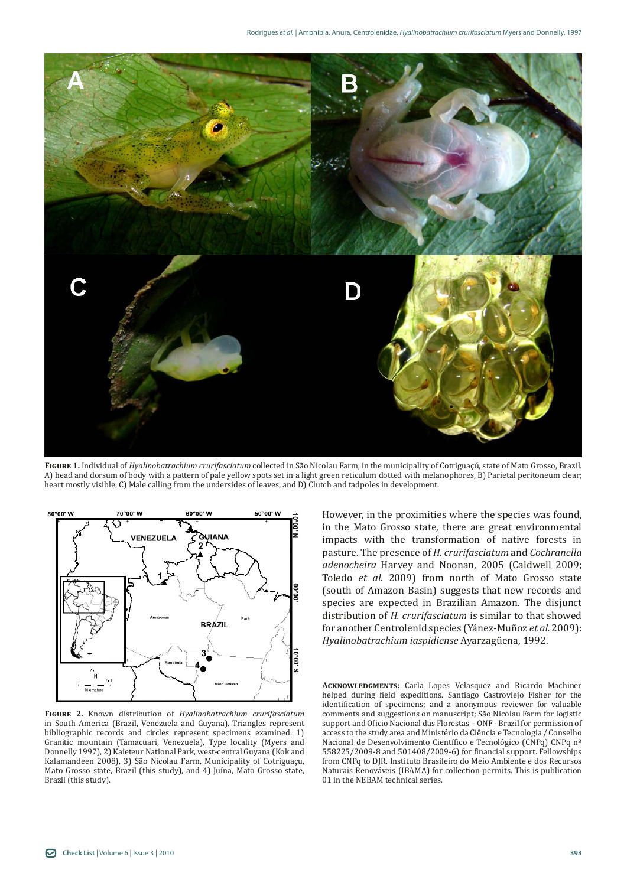

**Figure 1.** Individual of *Hyalinobatrachium crurifasciatum* collected in São Nicolau Farm, in the municipality of Cotriguaçú, state of Mato Grosso, Brazil. A) head and dorsum of body with a pattern of pale yellow spots set in a light green reticulum dotted with melanophores, B) Parietal peritoneum clear; heart mostly visible, C) Male calling from the undersides of leaves, and D) Clutch and tadpoles in development.



**Figure 2.** Known distribution of *Hyalinobatrachium crurifasciatum*  in South America (Brazil, Venezuela and Guyana). Triangles represent bibliographic records and circles represent specimens examined. 1) Granitic mountain (Tamacuari, Venezuela), Type locality (Myers and Donnelly 1997), 2) Kaieteur National Park, west-central Guyana (Kok and Kalamandeen 2008), 3) São Nicolau Farm, Municipality of Cotriguaçu, Mato Grosso state, Brazil (this study), and 4) Juína, Mato Grosso state, Brazil (this study).

However, in the proximities where the species was found, in the Mato Grosso state, there are great environmental impacts with the transformation of native forests in pasture. The presence of *H. crurifasciatum* and *Cochranella adenocheira* Harvey and Noonan, 2005 (Caldwell 2009; Toledo *et al.* 2009) from north of Mato Grosso state (south of Amazon Basin) suggests that new records and species are expected in Brazilian Amazon. The disjunct distribution of *H. crurifasciatum* is similar to that showed for another Centrolenid species (Yánez-Muñoz *et al.* 2009): *Hyalinobatrachium iaspidiense* Ayarzagüena, 1992.

**Acknowledgments:** Carla Lopes Velasquez and Ricardo Machiner helped during field expeditions. Santiago Castroviejo Fisher for the identification of specimens; and a anonymous reviewer for valuable comments and suggestions on manuscript; São Nicolau Farm for logistic support and Oficio Nacional das Florestas – ONF - Brazil for permission of access to the study area and Ministério da Ciência e Tecnologia / Conselho Nacional de Desenvolvimento Científico e Tecnológico (CNPq) CNPq nº 558225/2009-8 and 501408/2009-6) for financial support. Fellowships from CNPq to DJR. Instituto Brasileiro do Meio Ambiente e dos Recursos Naturais Renováveis (IBAMA) for collection permits. This is publication 01 in the NEBAM technical series.